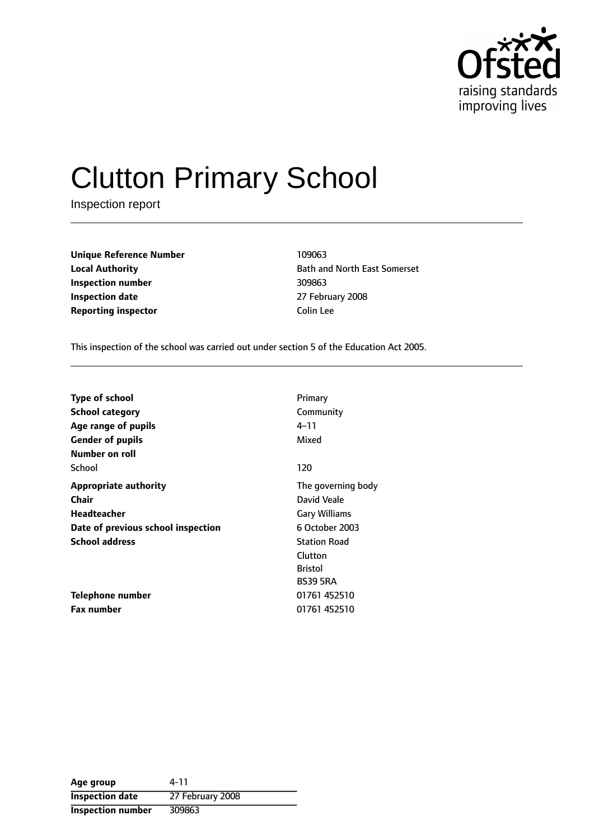

# Clutton Primary School

Inspection report

**Unique Reference Number** 109063 **Inspection number** 309863 **Inspection date** 27 February 2008 **Reporting inspector Colin Lee** 

**Local Authority Bath and North East Somerset** 

This inspection of the school was carried out under section 5 of the Education Act 2005.

| <b>Type of school</b><br>School category | Primary<br>Community |
|------------------------------------------|----------------------|
| Age range of pupils                      | 4–11                 |
| <b>Gender of pupils</b>                  | Mixed                |
| Number on roll                           |                      |
| School                                   | 120                  |
| <b>Appropriate authority</b>             | The governing body   |
| Chair                                    | David Veale          |
| <b>Headteacher</b>                       | <b>Gary Williams</b> |
| Date of previous school inspection       | 6 October 2003       |
| <b>School address</b>                    | <b>Station Road</b>  |
|                                          | Clutton              |
|                                          | <b>Bristol</b>       |
|                                          | <b>BS39 5RA</b>      |
| Telephone number                         | 01761 452510         |
| <b>Fax number</b>                        | 01761 452510         |

| Age group                | 4-11             |
|--------------------------|------------------|
| <b>Inspection date</b>   | 27 February 2008 |
| <b>Inspection number</b> | 309863           |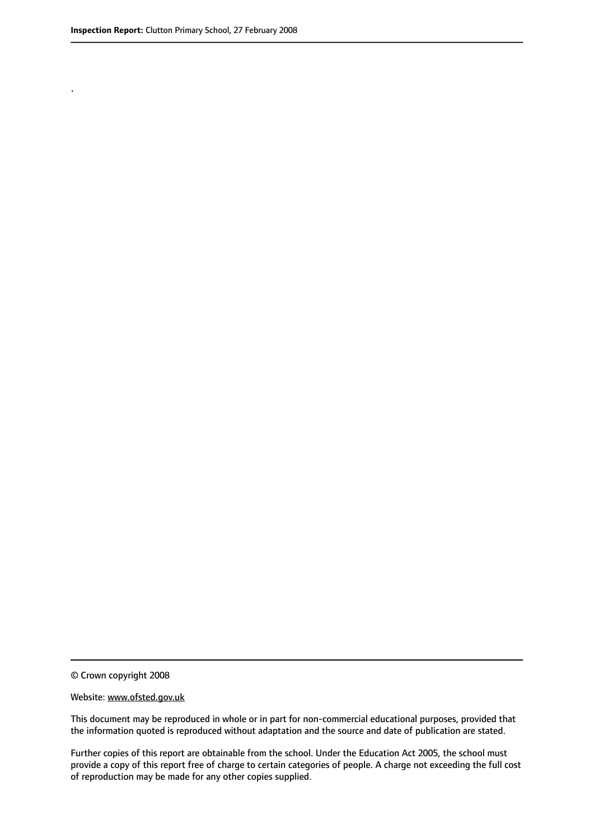.

© Crown copyright 2008

#### Website: www.ofsted.gov.uk

This document may be reproduced in whole or in part for non-commercial educational purposes, provided that the information quoted is reproduced without adaptation and the source and date of publication are stated.

Further copies of this report are obtainable from the school. Under the Education Act 2005, the school must provide a copy of this report free of charge to certain categories of people. A charge not exceeding the full cost of reproduction may be made for any other copies supplied.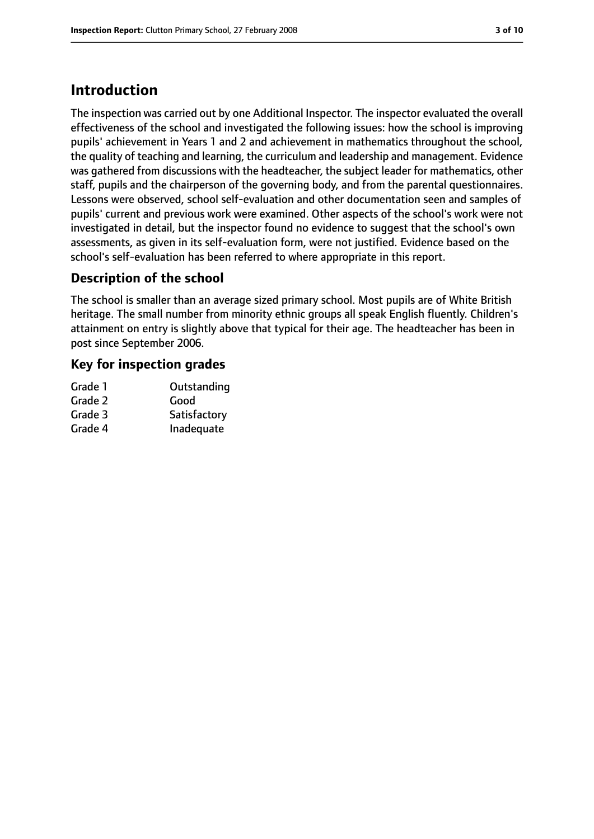# **Introduction**

The inspection was carried out by one Additional Inspector. The inspector evaluated the overall effectiveness of the school and investigated the following issues: how the school is improving pupils' achievement in Years 1 and 2 and achievement in mathematics throughout the school, the quality of teaching and learning, the curriculum and leadership and management. Evidence was gathered from discussions with the headteacher, the subject leader for mathematics, other staff, pupils and the chairperson of the governing body, and from the parental questionnaires. Lessons were observed, school self-evaluation and other documentation seen and samples of pupils' current and previous work were examined. Other aspects of the school's work were not investigated in detail, but the inspector found no evidence to suggest that the school's own assessments, as given in its self-evaluation form, were not justified. Evidence based on the school's self-evaluation has been referred to where appropriate in this report.

## **Description of the school**

The school is smaller than an average sized primary school. Most pupils are of White British heritage. The small number from minority ethnic groups all speak English fluently. Children's attainment on entry is slightly above that typical for their age. The headteacher has been in post since September 2006.

## **Key for inspection grades**

| Outstanding  |
|--------------|
| Good         |
| Satisfactory |
| Inadequate   |
|              |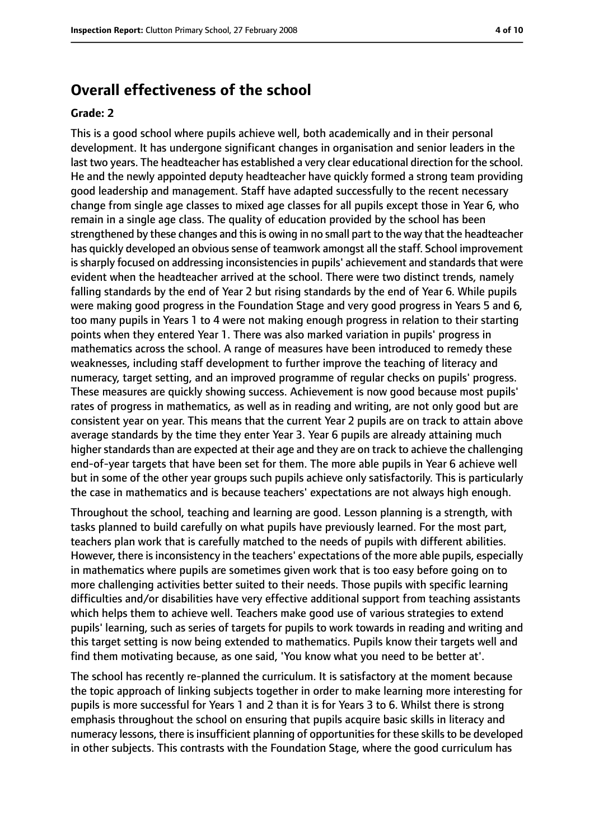## **Overall effectiveness of the school**

#### **Grade: 2**

This is a good school where pupils achieve well, both academically and in their personal development. It has undergone significant changes in organisation and senior leaders in the last two years. The headteacher has established a very clear educational direction for the school. He and the newly appointed deputy headteacher have quickly formed a strong team providing good leadership and management. Staff have adapted successfully to the recent necessary change from single age classes to mixed age classes for all pupils except those in Year 6, who remain in a single age class. The quality of education provided by the school has been strengthened by these changes and this is owing in no small part to the way that the headteacher has quickly developed an obvioussense of teamwork amongst all the staff. School improvement is sharply focused on addressing inconsistencies in pupils' achievement and standards that were evident when the headteacher arrived at the school. There were two distinct trends, namely falling standards by the end of Year 2 but rising standards by the end of Year 6. While pupils were making good progress in the Foundation Stage and very good progress in Years 5 and 6, too many pupils in Years 1 to 4 were not making enough progress in relation to their starting points when they entered Year 1. There was also marked variation in pupils' progress in mathematics across the school. A range of measures have been introduced to remedy these weaknesses, including staff development to further improve the teaching of literacy and numeracy, target setting, and an improved programme of regular checks on pupils' progress. These measures are quickly showing success. Achievement is now good because most pupils' rates of progress in mathematics, as well as in reading and writing, are not only good but are consistent year on year. This means that the current Year 2 pupils are on track to attain above average standards by the time they enter Year 3. Year 6 pupils are already attaining much higher standards than are expected at their age and they are on track to achieve the challenging end-of-year targets that have been set for them. The more able pupils in Year 6 achieve well but in some of the other year groups such pupils achieve only satisfactorily. This is particularly the case in mathematics and is because teachers' expectations are not always high enough.

Throughout the school, teaching and learning are good. Lesson planning is a strength, with tasks planned to build carefully on what pupils have previously learned. For the most part, teachers plan work that is carefully matched to the needs of pupils with different abilities. However, there is inconsistency in the teachers' expectations of the more able pupils, especially in mathematics where pupils are sometimes given work that is too easy before going on to more challenging activities better suited to their needs. Those pupils with specific learning difficulties and/or disabilities have very effective additional support from teaching assistants which helps them to achieve well. Teachers make good use of various strategies to extend pupils' learning, such as series of targets for pupils to work towards in reading and writing and this target setting is now being extended to mathematics. Pupils know their targets well and find them motivating because, as one said, 'You know what you need to be better at'.

The school has recently re-planned the curriculum. It is satisfactory at the moment because the topic approach of linking subjects together in order to make learning more interesting for pupils is more successful for Years 1 and 2 than it is for Years 3 to 6. Whilst there is strong emphasis throughout the school on ensuring that pupils acquire basic skills in literacy and numeracy lessons, there is insufficient planning of opportunities for these skills to be developed in other subjects. This contrasts with the Foundation Stage, where the good curriculum has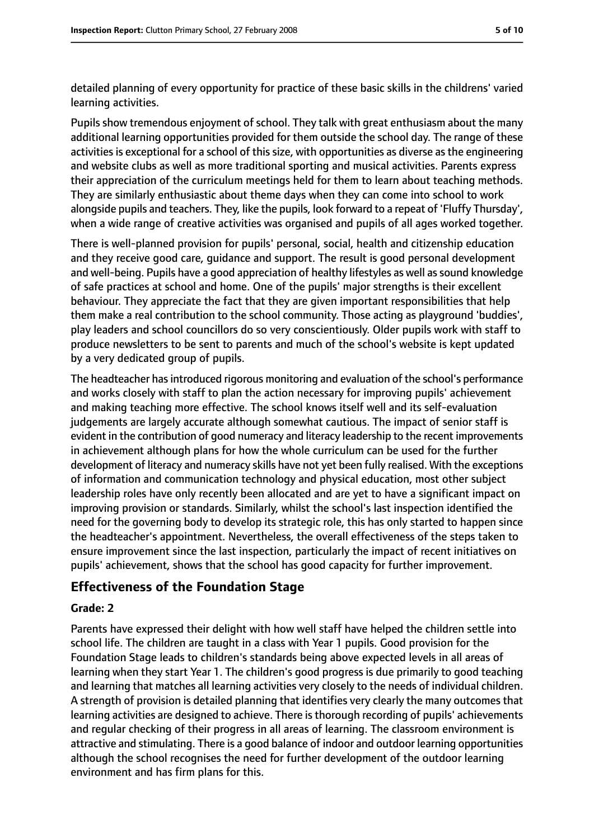detailed planning of every opportunity for practice of these basic skills in the childrens' varied learning activities.

Pupils show tremendous enjoyment of school. They talk with great enthusiasm about the many additional learning opportunities provided for them outside the school day. The range of these activities is exceptional for a school of this size, with opportunities as diverse as the engineering and website clubs as well as more traditional sporting and musical activities. Parents express their appreciation of the curriculum meetings held for them to learn about teaching methods. They are similarly enthusiastic about theme days when they can come into school to work alongside pupils and teachers. They, like the pupils, look forward to a repeat of 'Fluffy Thursday', when a wide range of creative activities was organised and pupils of all ages worked together.

There is well-planned provision for pupils' personal, social, health and citizenship education and they receive good care, guidance and support. The result is good personal development and well-being. Pupils have a good appreciation of healthy lifestyles as well as sound knowledge of safe practices at school and home. One of the pupils' major strengths is their excellent behaviour. They appreciate the fact that they are given important responsibilities that help them make a real contribution to the school community. Those acting as playground 'buddies', play leaders and school councillors do so very conscientiously. Older pupils work with staff to produce newsletters to be sent to parents and much of the school's website is kept updated by a very dedicated group of pupils.

The headteacher has introduced rigorous monitoring and evaluation of the school's performance and works closely with staff to plan the action necessary for improving pupils' achievement and making teaching more effective. The school knows itself well and its self-evaluation judgements are largely accurate although somewhat cautious. The impact of senior staff is evident in the contribution of good numeracy and literacy leadership to the recent improvements in achievement although plans for how the whole curriculum can be used for the further development of literacy and numeracy skills have not yet been fully realised. With the exceptions of information and communication technology and physical education, most other subject leadership roles have only recently been allocated and are yet to have a significant impact on improving provision or standards. Similarly, whilst the school's last inspection identified the need for the governing body to develop its strategic role, this has only started to happen since the headteacher's appointment. Nevertheless, the overall effectiveness of the steps taken to ensure improvement since the last inspection, particularly the impact of recent initiatives on pupils' achievement, shows that the school has good capacity for further improvement.

## **Effectiveness of the Foundation Stage**

### **Grade: 2**

Parents have expressed their delight with how well staff have helped the children settle into school life. The children are taught in a class with Year 1 pupils. Good provision for the Foundation Stage leads to children's standards being above expected levels in all areas of learning when they start Year 1. The children's good progress is due primarily to good teaching and learning that matches all learning activities very closely to the needs of individual children. A strength of provision is detailed planning that identifies very clearly the many outcomes that learning activities are designed to achieve. There is thorough recording of pupils' achievements and regular checking of their progress in all areas of learning. The classroom environment is attractive and stimulating. There is a good balance of indoor and outdoor learning opportunities although the school recognises the need for further development of the outdoor learning environment and has firm plans for this.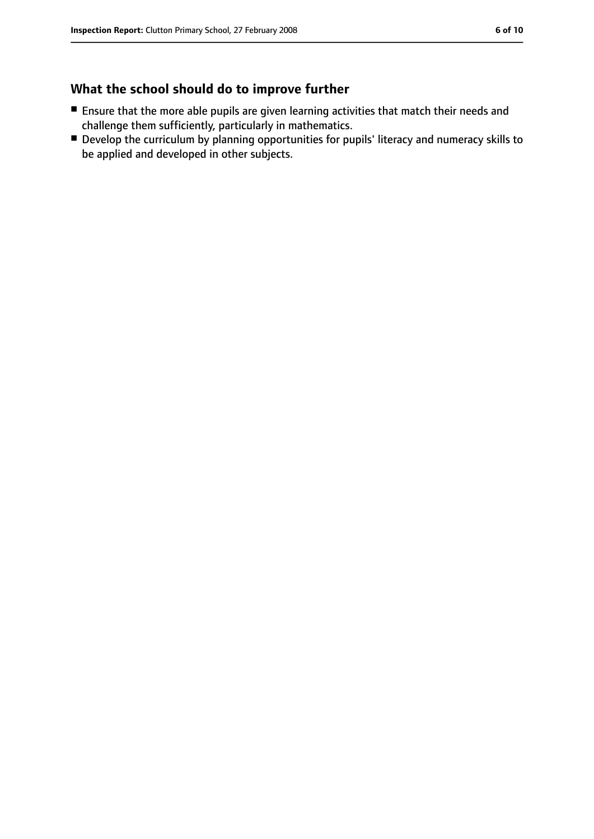## **What the school should do to improve further**

- Ensure that the more able pupils are given learning activities that match their needs and challenge them sufficiently, particularly in mathematics.
- Develop the curriculum by planning opportunities for pupils' literacy and numeracy skills to be applied and developed in other subjects.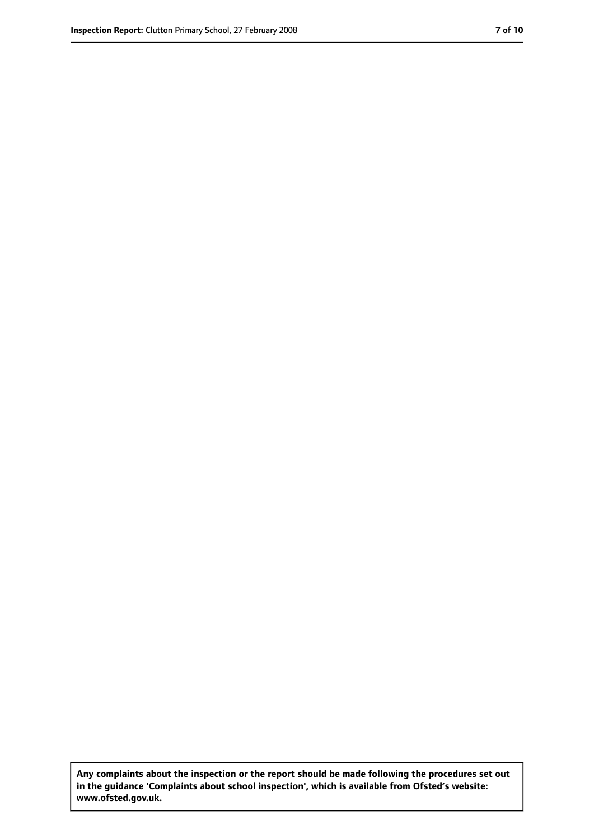**Any complaints about the inspection or the report should be made following the procedures set out in the guidance 'Complaints about school inspection', which is available from Ofsted's website: www.ofsted.gov.uk.**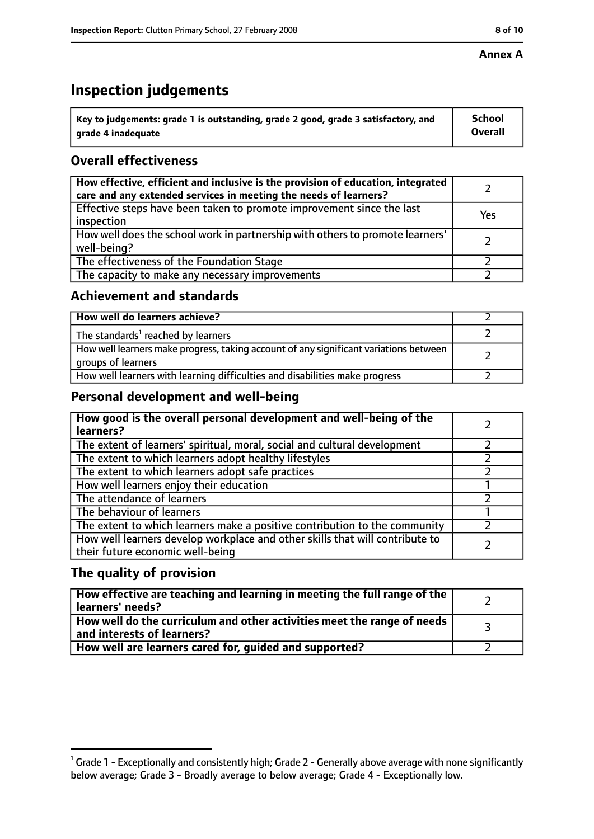#### **Annex A**

# **Inspection judgements**

| $^{\backprime}$ Key to judgements: grade 1 is outstanding, grade 2 good, grade 3 satisfactory, and | <b>School</b>  |
|----------------------------------------------------------------------------------------------------|----------------|
| arade 4 inadeguate                                                                                 | <b>Overall</b> |

## **Overall effectiveness**

| How effective, efficient and inclusive is the provision of education, integrated<br>care and any extended services in meeting the needs of learners? |     |
|------------------------------------------------------------------------------------------------------------------------------------------------------|-----|
| Effective steps have been taken to promote improvement since the last<br>inspection                                                                  | Yes |
| How well does the school work in partnership with others to promote learners'<br>well-being?                                                         |     |
| The effectiveness of the Foundation Stage                                                                                                            |     |
| The capacity to make any necessary improvements                                                                                                      |     |

## **Achievement and standards**

| How well do learners achieve?                                                                               |  |
|-------------------------------------------------------------------------------------------------------------|--|
| The standards <sup>1</sup> reached by learners                                                              |  |
| How well learners make progress, taking account of any significant variations between<br>groups of learners |  |
| How well learners with learning difficulties and disabilities make progress                                 |  |

## **Personal development and well-being**

| How good is the overall personal development and well-being of the<br>learners?                                  |  |
|------------------------------------------------------------------------------------------------------------------|--|
| The extent of learners' spiritual, moral, social and cultural development                                        |  |
| The extent to which learners adopt healthy lifestyles                                                            |  |
| The extent to which learners adopt safe practices                                                                |  |
| How well learners enjoy their education                                                                          |  |
| The attendance of learners                                                                                       |  |
| The behaviour of learners                                                                                        |  |
| The extent to which learners make a positive contribution to the community                                       |  |
| How well learners develop workplace and other skills that will contribute to<br>their future economic well-being |  |

## **The quality of provision**

| How effective are teaching and learning in meeting the full range of the<br>learners' needs?          |  |
|-------------------------------------------------------------------------------------------------------|--|
| How well do the curriculum and other activities meet the range of needs<br>and interests of learners? |  |
| How well are learners cared for, guided and supported?                                                |  |

 $^1$  Grade 1 - Exceptionally and consistently high; Grade 2 - Generally above average with none significantly below average; Grade 3 - Broadly average to below average; Grade 4 - Exceptionally low.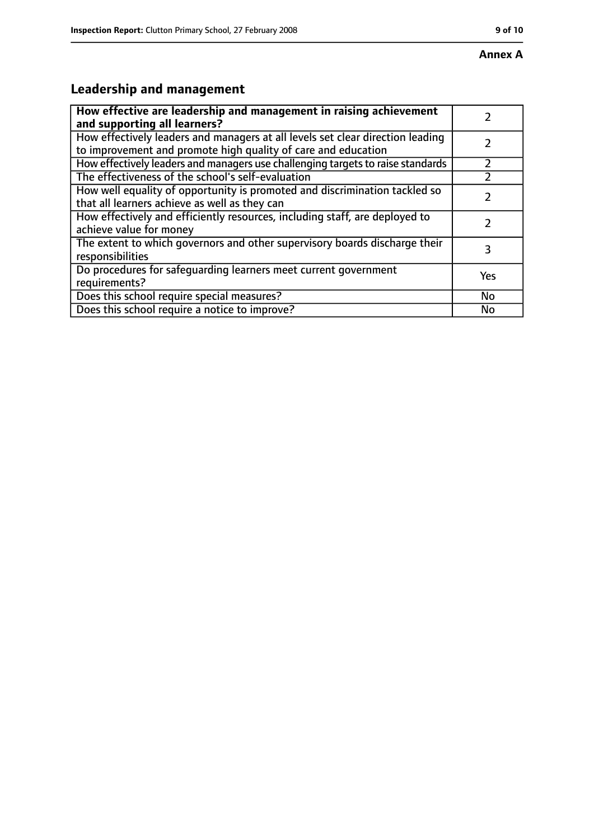## **Annex A**

# **Leadership and management**

| How effective are leadership and management in raising achievement              |     |
|---------------------------------------------------------------------------------|-----|
| and supporting all learners?                                                    |     |
| How effectively leaders and managers at all levels set clear direction leading  |     |
| to improvement and promote high quality of care and education                   |     |
| How effectively leaders and managers use challenging targets to raise standards |     |
| The effectiveness of the school's self-evaluation                               |     |
| How well equality of opportunity is promoted and discrimination tackled so      |     |
| that all learners achieve as well as they can                                   |     |
| How effectively and efficiently resources, including staff, are deployed to     | 7   |
| achieve value for money                                                         |     |
| The extent to which governors and other supervisory boards discharge their      | 3   |
| responsibilities                                                                |     |
| Do procedures for safequarding learners meet current government                 | Yes |
| requirements?                                                                   |     |
| Does this school require special measures?                                      | No  |
| Does this school require a notice to improve?                                   | No  |